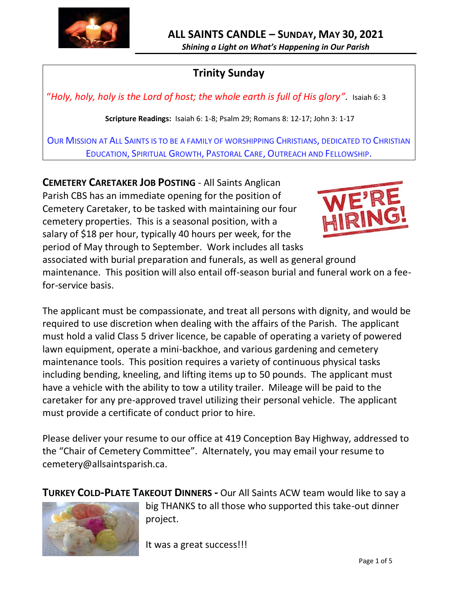

*Shining a Light on What's Happening in Our Parish*

## **Trinity Sunday**

"*Holy, holy, holy is the Lord of host; the whole earth is full of His glory"*. Isaiah 6: 3

**Scripture Readings:** Isaiah 6: 1-8; Psalm 29; Romans 8: 12-17; John 3: 1-17

OUR MISSION AT ALL SAINTS IS TO BE A FAMILY OF WORSHIPPING CHRISTIANS, DEDICATED TO CHRISTIAN EDUCATION, SPIRITUAL GROWTH, PASTORAL CARE, OUTREACH AND FELLOWSHIP.

**CEMETERY CARETAKER JOB POSTING** - All Saints Anglican Parish CBS has an immediate opening for the position of Cemetery Caretaker, to be tasked with maintaining our four cemetery properties. This is a seasonal position, with a salary of \$18 per hour, typically 40 hours per week, for the period of May through to September. Work includes all tasks



associated with burial preparation and funerals, as well as general ground maintenance. This position will also entail off-season burial and funeral work on a feefor-service basis.

The applicant must be compassionate, and treat all persons with dignity, and would be required to use discretion when dealing with the affairs of the Parish. The applicant must hold a valid Class 5 driver licence, be capable of operating a variety of powered lawn equipment, operate a mini-backhoe, and various gardening and cemetery maintenance tools. This position requires a variety of continuous physical tasks including bending, kneeling, and lifting items up to 50 pounds. The applicant must have a vehicle with the ability to tow a utility trailer. Mileage will be paid to the caretaker for any pre-approved travel utilizing their personal vehicle. The applicant must provide a certificate of conduct prior to hire.

Please deliver your resume to our office at 419 Conception Bay Highway, addressed to the "Chair of Cemetery Committee". Alternately, you may email your resume to cemetery@allsaintsparish.ca.

**TURKEY COLD-PLATE TAKEOUT DINNERS -** Our All Saints ACW team would like to say a



big THANKS to all those who supported this take-out dinner project.

It was a great success!!!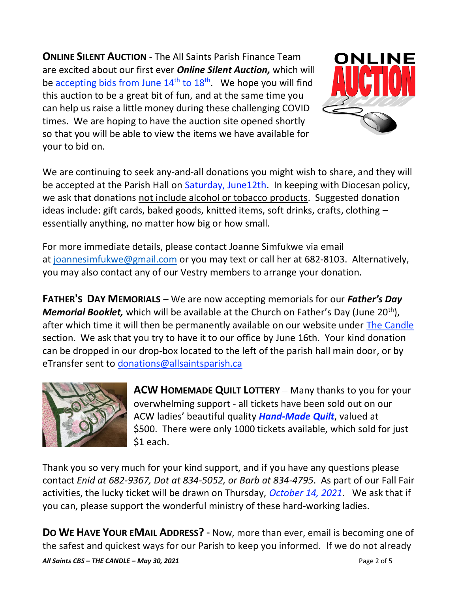**ONLINE SILENT AUCTION** - The All Saints Parish Finance Team are excited about our first ever *Online Silent Auction,* which will be accepting bids from June  $14<sup>th</sup>$  to  $18<sup>th</sup>$ . We hope you will find this auction to be a great bit of fun, and at the same time you can help us raise a little money during these challenging COVID times. We are hoping to have the auction site opened shortly so that you will be able to view the items we have available for your to bid on.



We are continuing to seek any-and-all donations you might wish to share, and they will be accepted at the Parish Hall on Saturday, June12th. In keeping with Diocesan policy, we ask that donations not include alcohol or tobacco products. Suggested donation ideas include: gift cards, baked goods, knitted items, soft drinks, crafts, clothing – essentially anything, no matter how big or how small.

For more immediate details, please contact Joanne Simfukwe via email at [joannesimfukwe@gmail.com](mailto:joannesimfukwe@gmail.com) or you may text or call her at 682-8103. Alternatively, you may also contact any of our Vestry members to arrange your donation.

**FATHER'S DAY MEMORIALS** – We are now accepting memorials for our *Father's Day Memorial Booklet,* which will be available at the Church on Father's Day (June 20<sup>th</sup>), after which time it will then be permanently available on our website under [The Candle](http://allsaintsparish.ca/thecandle.html) section. We ask that you try to have it to our office by June 16th. Your kind donation can be dropped in our drop-box located to the left of the parish hall main door, or by eTransfer sent to [donations@allsaintsparish.ca](mailto:donations@allsaintsparish.ca?subject=Father)



**ACW HOMEMADE QUILT LOTTERY** – Many thanks to you for your overwhelming support - all tickets have been sold out on our ACW ladies' beautiful quality *Hand-Made Quilt*, valued at \$500. There were only 1000 tickets available, which sold for just \$1 each.

Thank you so very much for your kind support, and if you have any questions please contact *Enid at 682-9367, Dot at 834-5052, or Barb at 834-4795*. As part of our Fall Fair activities, the lucky ticket will be drawn on Thursday, *October 14, 2021*. We ask that if you can, please support the wonderful ministry of these hard-working ladies.

**DO WE HAVE YOUR EMAIL ADDRESS?** - Now, more than ever, email is becoming one of the safest and quickest ways for our Parish to keep you informed. If we do not already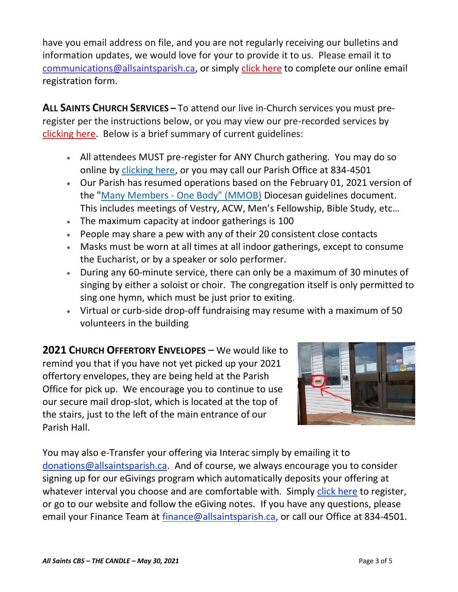have you email address on file, and you are not regularly receiving our bulletins and information updates, we would love for your to provide it to us. Please email it to [communications@allsaintsparish.ca,](mailto:communications@allsaintsparish.ca?subject=eMail%20Address%20Update) or simply [click here](http://allsaintsparish.ca/email_updates) to complete our online email registration form.

**ALL SAINTS CHURCH SERVICES –** To attend our live in-Church services you must preregister per the instructions below, or you may view our pre-recorded services by [clicking here.](http://allsaintsparish.ca/recorded-church-services) Below is a brief summary of current guidelines:

- All attendees MUST pre-register for ANY Church gathering. You may do so online by [clicking here,](http://allsaintsparish.ca/covid-pre-registration-form) or you may call our Parish Office at 834-4501
- Our Parish has resumed operations based on the February 01, 2021 version of the "Many Members - [One Body" \(MMOB\)](https://anglicanenl.net/home/wp-content/uploads/2021/02/Many-Members-One-Body-February-2021.pdf) Diocesan guidelines document. This includes meetings of Vestry, ACW, Men's Fellowship, Bible Study, etc…
- The maximum capacity at indoor gatherings is 100
- People may share a pew with any of their 20 consistent close contacts
- Masks must be worn at all times at all indoor gatherings, except to consume the Eucharist, or by a speaker or solo performer.
- During any 60-minute service, there can only be a maximum of 30 minutes of singing by either a soloist or choir. The congregation itself is only permitted to sing one hymn, which must be just prior to exiting.
- Virtual or curb-side drop-off fundraising may resume with a maximum of 50 volunteers in the building

**2021 CHURCH OFFERTORY ENVELOPES** – We would like to remind you that if you have not yet picked up your 2021 offertory envelopes, they are being held at the Parish Office for pick up. We encourage you to continue to use our secure mail drop-slot, which is located at the top of the stairs, just to the left of the main entrance of our Parish Hall.



You may also e-Transfer your offering via Interac simply by emailing it to [donations@allsaintsparish.ca.](mailto:donations@allsaintsparish.ca) And of course, we always encourage you to consider signing up for our eGivings program which automatically deposits your offering at whatever interval you choose and are comfortable with. Simply [click here](http://allsaintsparish.ca/egiving-online-information-form) to register, or go to our website and follow the eGiving notes. If you have [any](https://wfsites-to.websitecreatorprotool.com/870a5dd5.com/Admin/%7BSK_NODEID__22939341__SK%7D) questions, please email your Finance Team at [finance@allsaintsparish.ca,](mailto:finance@allsaintsparish.ca) or call our Office at 834-4501.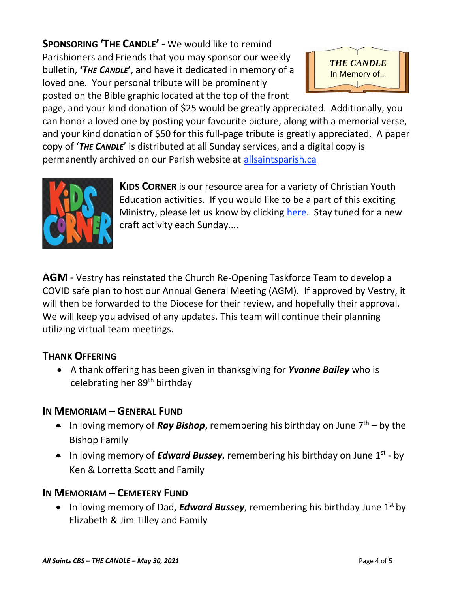**SPONSORING 'THE CANDLE'** - We would like to remind Parishioners and Friends that you may sponsor our weekly bulletin, **'***THE CANDLE***'**, and have it dedicated in memory of a loved one. Your personal tribute will be prominently posted on the Bible graphic located at the top of the front



page, and your kind donation of \$25 would be greatly appreciated. Additionally, you can honor a loved one by posting your favourite picture, along with a memorial verse, and your kind donation of \$50 for this full-page tribute is greatly appreciated. A paper copy of '*THE CANDLE*' is distributed at all Sunday services, and a digital copy is permanently archived on our Parish website at [allsaintsparish.ca](http://allsaintsparish.ca/thecandle.html)



**KIDS CORNER** is our resource area for a variety of Christian Youth Education activities. If you would like to be a part of this exciting Ministry, please let us know by clicking [here.](http://allsaintsparish.ca/index.html#comments) Stay tuned for a new craft activity each Sunday....

**AGM** - Vestry has reinstated the Church Re-Opening Taskforce Team to develop a COVID safe plan to host our Annual General Meeting (AGM). If approved by Vestry, it will then be forwarded to the Diocese for their review, and hopefully their approval. We will keep you advised of any updates. This team will continue their planning utilizing virtual team meetings.

## **THANK OFFERING**

• A thank offering has been given in thanksgiving for *Yvonne Bailey* who is celebrating her 89th birthday

## **IN MEMORIAM – GENERAL FUND**

- In loving memory of **Ray Bishop**, remembering his birthday on June  $7<sup>th</sup>$  by the Bishop Family
- In loving memory of *Edward Bussey*, remembering his birthday on June 1<sup>st</sup> by Ken & Lorretta Scott and Family

## **IN MEMORIAM – CEMETERY FUND**

• In loving memory of Dad, **Edward Bussey**, remembering his birthday June 1<sup>st</sup> by Elizabeth & Jim Tilley and Family